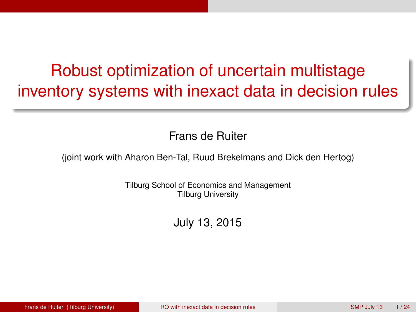# <span id="page-0-0"></span>Robust optimization of uncertain multistage inventory systems with inexact data in decision rules

Frans de Ruiter

(joint work with Aharon Ben-Tal, Ruud Brekelmans and Dick den Hertog)

Tilburg School of Economics and Management Tilburg University

July 13, 2015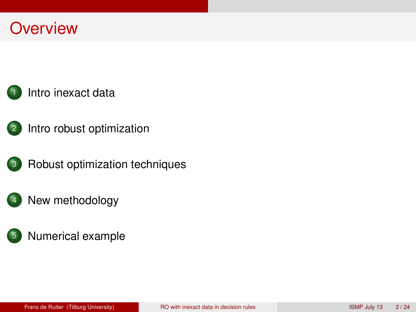# **Overview**



- <sup>2</sup> [Intro robust optimization](#page-4-0)
- <sup>3</sup> [Robust optimization techniques](#page-11-0)
	- [New methodology](#page-15-0)
	- <sup>5</sup> [Numerical example](#page-18-0)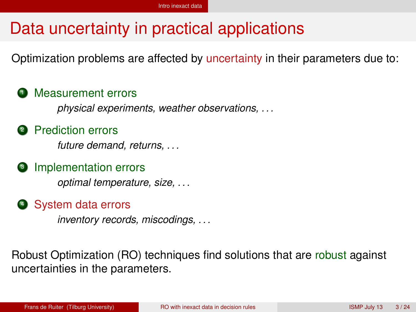# <span id="page-2-0"></span>Data uncertainty in practical applications

Optimization problems are affected by uncertainty in their parameters due to:

#### **1** Measurement errors

*physical experiments, weather observations, . . .*

#### **2** Prediction errors

*future demand, returns, . . .*

#### **3** Implementation errors

*optimal temperature, size, . . .*

#### **4** System data errors

*inventory records, miscodings, . . .*

Robust Optimization (RO) techniques find solutions that are robust against uncertainties in the parameters.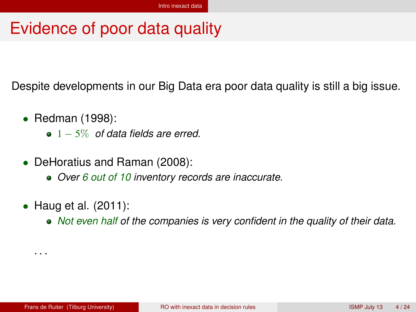## <span id="page-3-0"></span>Evidence of poor data quality

Despite developments in our Big Data era poor data quality is still a big issue.

- Redman (1998):
	- 1 − 5% *of data fields are erred.*
- DeHoratius and Raman (2008):
	- *Over 6 out of 10 inventory records are inaccurate.*
- Haug et al. (2011):
	- *Not even half of the companies is very confident in the quality of their data.*

. . .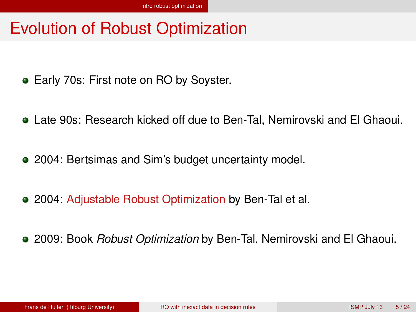# <span id="page-4-0"></span>Evolution of Robust Optimization

- **Early 70s: First note on RO by Soyster.**
- Late 90s: Research kicked off due to Ben-Tal, Nemirovski and El Ghaoui.
- 2004: Bertsimas and Sim's budget uncertainty model.
- 2004: Adjustable Robust Optimization by Ben-Tal et al.
- 2009: Book *Robust Optimization* by Ben-Tal, Nemirovski and El Ghaoui.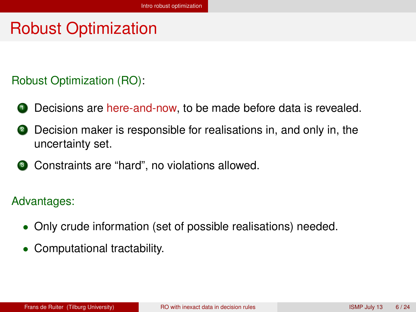# <span id="page-5-0"></span>Robust Optimization

#### Robust Optimization (RO):

- **1** Decisions are here-and-now, to be made before data is revealed.
- 2 Decision maker is responsible for realisations in, and only in, the uncertainty set.
- <sup>3</sup> Constraints are "hard", no violations allowed.

#### Advantages:

- Only crude information (set of possible realisations) needed.
- Computational tractability.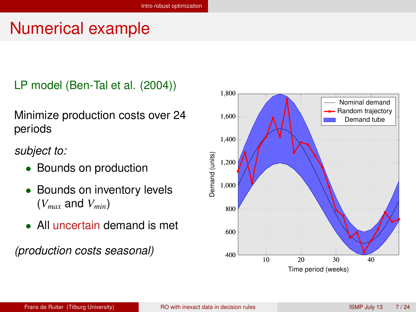# <span id="page-6-0"></span>Numerical example

LP model (Ben-Tal et al. (2004))

Minimize production costs over 24 periods

*subject to:*

- Bounds on production
- Bounds on inventory levels (*Vmax* and *Vmin*)
- All uncertain demand is met

*(production costs seasonal)*

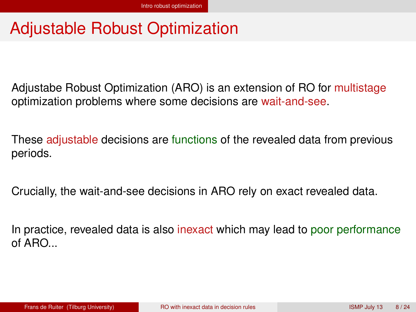# <span id="page-7-0"></span>Adjustable Robust Optimization

Adjustabe Robust Optimization (ARO) is an extension of RO for multistage optimization problems where some decisions are wait-and-see.

These adjustable decisions are functions of the revealed data from previous periods.

Crucially, the wait-and-see decisions in ARO rely on exact revealed data.

In practice, revealed data is also inexact which may lead to poor performance of ARO. $\overline{a}$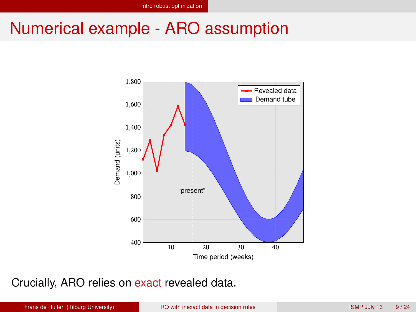### <span id="page-8-0"></span>Numerical example - ARO assumption



Crucially, ARO relies on exact revealed data.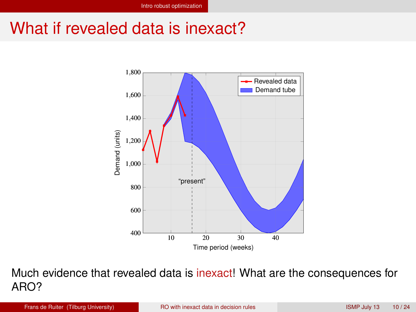# <span id="page-9-0"></span>What if revealed data is inexact?



Much evidence that revealed data is inexact! What are the consequences for ARO?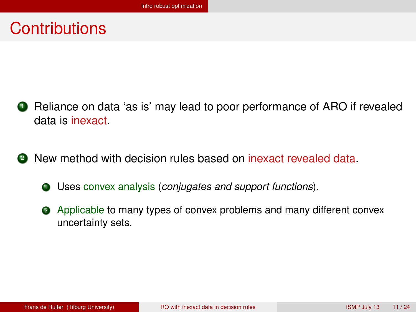### <span id="page-10-0"></span>**Contributions**

- **1** Reliance on data 'as is' may lead to poor performance of ARO if revealed data is inexact.
- <sup>2</sup> New method with decision rules based on inexact revealed data.
	- <sup>1</sup> Uses convex analysis (*conjugates and support functions*).
	- <sup>2</sup> Applicable to many types of convex problems and many different convex uncertainty sets.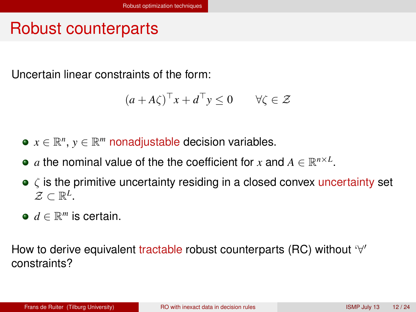# <span id="page-11-0"></span>Robust counterparts

Uncertain linear constraints of the form:

$$
(a + A\zeta)^{\top} x + d^{\top} y \le 0 \qquad \forall \zeta \in \mathcal{Z}
$$

- $x \in \mathbb{R}^n$ ,  $y \in \mathbb{R}^m$  nonadjustable decision variables.
- $a$  the nominal value of the the coefficient for  $x$  and  $A \in \mathbb{R}^{n \times L}$ .
- $\bullet \zeta$  is the primitive uncertainty residing in a closed convex uncertainty set  $\mathcal{Z} \subset \mathbb{R}^L$ .
- $d \in \mathbb{R}^m$  is certain.

How to derive equivalent tractable robust counterparts (RC) without '∀' constraints?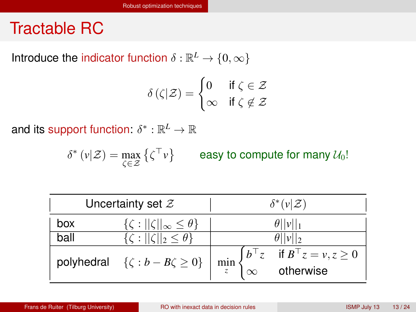### <span id="page-12-0"></span>Tractable RC

Introduce the indicator function  $\delta : \mathbb{R}^L \to \{0, \infty\}$ 

$$
\delta(\zeta|\mathcal{Z}) = \begin{cases} 0 & \text{if } \zeta \in \mathcal{Z} \\ \infty & \text{if } \zeta \notin \mathcal{Z} \end{cases}
$$

and its support function:  $\delta^*:\mathbb{R}^L\to\mathbb{R}$ 

 $\delta^* (\nu | \mathcal{Z}) = \max_{\zeta \in \mathcal{Z}} \left\{ \zeta^{\top} \nu \right\}$ easy to compute for many  $\mathcal{U}_0!$ 

| Uncertainty set $\mathcal Z$ |                                                                                                                    | $\delta^*(v \mathcal{Z})$ |                                                                                                       |
|------------------------------|--------------------------------------------------------------------------------------------------------------------|---------------------------|-------------------------------------------------------------------------------------------------------|
| box                          | $\{\zeta:   \zeta  _{\infty} \leq \theta\}$                                                                        | $\theta$   v  1           |                                                                                                       |
| ball                         | $\{\zeta:   \zeta  _2 \leq \theta\}$                                                                               | $\theta$   v  2           |                                                                                                       |
|                              | polyhedral $\{\zeta : b - B\zeta \ge 0\}$ $\left  \min_{z} \begin{cases} b^{\top} z \\ \infty \end{cases} \right $ |                           | $\begin{cases} b^\top z & \text{if } B^\top z = v, z \geq 0 \\ \infty & \text{otherwise} \end{cases}$ |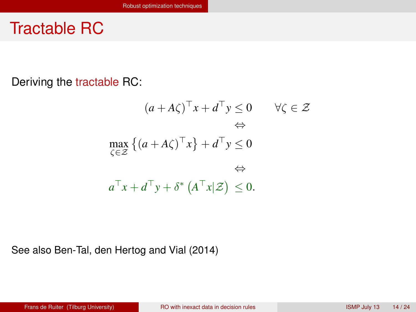### <span id="page-13-0"></span>Tractable RC

Deriving the tractable RC:

$$
(a + A\zeta)^{\top} x + d^{\top} y \le 0 \qquad \forall \zeta \in \mathcal{Z}
$$
  

$$
\Leftrightarrow
$$
  

$$
\max_{\zeta \in \mathcal{Z}} \left\{ (a + A\zeta)^{\top} x \right\} + d^{\top} y \le 0
$$
  

$$
\Leftrightarrow
$$
  

$$
a^{\top} x + d^{\top} y + \delta^* (A^{\top} x | \mathcal{Z}) \le 0.
$$

See also Ben-Tal, den Hertog and Vial (2014)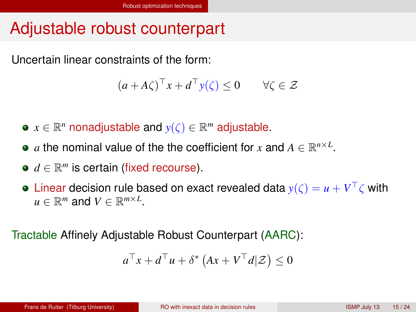# <span id="page-14-0"></span>Adjustable robust counterpart

Uncertain linear constraints of the form:

$$
(a + A\zeta)^{\top} x + d^{\top} y(\zeta) \le 0 \qquad \forall \zeta \in \mathcal{Z}
$$

- $x \in \mathbb{R}^n$  nonadjustable and  $y(\zeta) \in \mathbb{R}^m$  adjustable.
- $a$  the nominal value of the the coefficient for  $x$  and  $A \in \mathbb{R}^{n \times L}$ .
- $d \in \mathbb{R}^m$  is certain (fixed recourse).
- Linear decision rule based on exact revealed data  $y(\zeta) = u + V^\top \zeta$  with  $u \in \mathbb{R}^m$  and  $V \in \mathbb{R}^{m \times L}$ .

Tractable Affinely Adjustable Robust Counterpart (AARC):

$$
a^{\top}x + d^{\top}u + \delta^* (Ax + V^{\top}d|\mathcal{Z}) \le 0
$$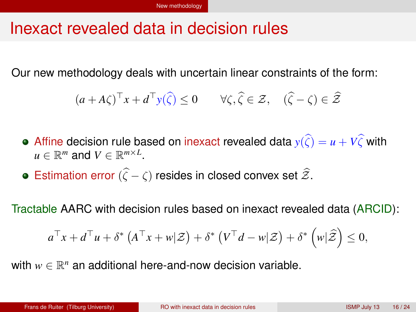### <span id="page-15-0"></span>Inexact revealed data in decision rules

Our new methodology deals with uncertain linear constraints of the form:

$$
(a + A\zeta)^{\top} x + d^{\top} y(\widehat{\zeta}) \le 0 \qquad \forall \zeta, \widehat{\zeta} \in \mathcal{Z}, \quad (\widehat{\zeta} - \zeta) \in \widehat{\mathcal{Z}}
$$

- Affine decision rule based on inexact revealed data  $y(\hat{\zeta}) = u + V\hat{\zeta}$  with  $u \in \mathbb{R}^m$  and  $V \in \mathbb{R}^{m \times L}$ .
- **•** Estimation error ( $\hat{\zeta} \zeta$ ) resides in closed convex set  $\hat{\mathcal{Z}}$ .

Tractable AARC with decision rules based on inexact revealed data (ARCID):

$$
a^{\top}x + d^{\top}u + \delta^* \left( A^{\top}x + w | \mathcal{Z} \right) + \delta^* \left( V^{\top}d - w | \mathcal{Z} \right) + \delta^* \left( w | \widehat{\mathcal{Z}} \right) \leq 0,
$$

with  $w \in \mathbb{R}^n$  an additional here-and-now decision variable.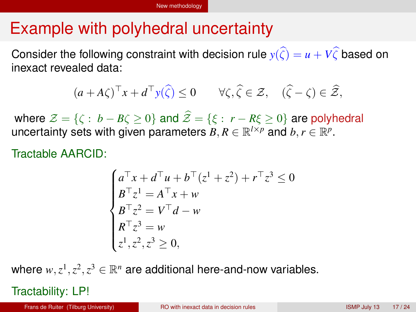# <span id="page-16-0"></span>Example with polyhedral uncertainty

Consider the following constraint with decision rule  $y(\hat{\zeta}) = u + V\hat{\zeta}$  based on inexact revealed data:

$$
(a + A\zeta)^{\top} x + d^{\top} y(\widehat{\zeta}) \le 0 \qquad \forall \zeta, \widehat{\zeta} \in \mathcal{Z}, \quad (\widehat{\zeta} - \zeta) \in \widehat{\mathcal{Z}},
$$

where  $\mathcal{Z} = \{ \zeta : b - B\zeta > 0 \}$  and  $\widehat{\mathcal{Z}} = \{ \xi : r - R\xi > 0 \}$  are polyhedral uncertainty sets with given parameters  $B, R \in \mathbb{R}^{l \times p}$  and  $b, r \in \mathbb{R}^{p}$ .

Tractable AARCID:

$$
\begin{cases}\na^{\top}x + d^{\top}u + b^{\top}(z^{1} + z^{2}) + r^{\top}z^{3} \le 0 \\
B^{\top}z^{1} = A^{\top}x + w \\
B^{\top}z^{2} = V^{\top}d - w \\
R^{\top}z^{3} = w \\
z^{1}, z^{2}, z^{3} \ge 0,\n\end{cases}
$$

where  $w, z^1, z^2, z^3 \in \mathbb{R}^n$  are additional here-and-now variables.

Tractability: LP!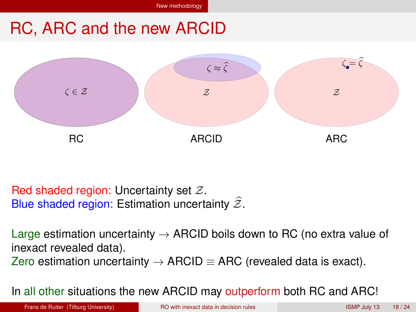# <span id="page-17-0"></span>RC, ARC and the new ARCID



Red shaded region: Uncertainty set Z. Blue shaded region: Estimation uncertainty  $\widehat{\mathcal{Z}}$ .

Large estimation uncertainty  $\rightarrow$  ARCID boils down to RC (no extra value of inexact revealed data).

Zero estimation uncertainty  $\rightarrow$  ARCID  $\equiv$  ARC (revealed data is exact).

In all other situations the new ARCID may outperform both RC and ARC!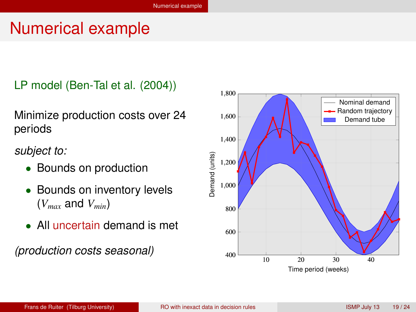## <span id="page-18-0"></span>Numerical example

LP model (Ben-Tal et al. (2004))

Minimize production costs over 24 periods

*subject to:*

- Bounds on production
- Bounds on inventory levels (*Vmax* and *Vmin*)
- All uncertain demand is met

*(production costs seasonal)*

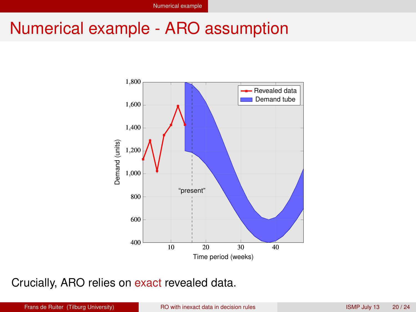### <span id="page-19-0"></span>Numerical example - ARO assumption



Crucially, ARO relies on exact revealed data.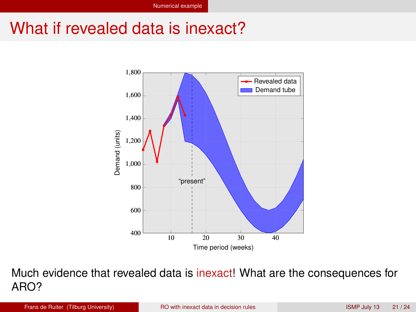# <span id="page-20-0"></span>What if revealed data is inexact?



Much evidence that revealed data is inexact! What are the consequences for ARO?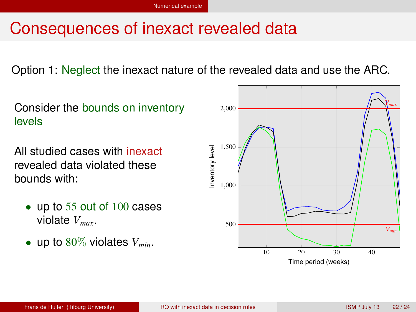# <span id="page-21-0"></span>Consequences of inexact revealed data

Option 1: Neglect the inexact nature of the revealed data and use the ARC.

Consider the bounds on inventory levels

All studied cases with inexact revealed data violated these bounds with:

- up to 55 out of 100 cases violate *Vmax*.
- up to  $80\%$  violates  $V_{min}$ .

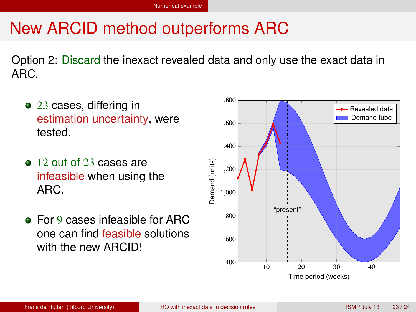# <span id="page-22-0"></span>New ARCID method outperforms ARC

Option 2: Discard the inexact revealed data and only use the exact data in ARC.

- 23 cases, differing in estimation uncertainty, were tested.
- 12 out of 23 cases are infeasible when using the ARC.
- **For 9 cases infeasible for ARC** one can find feasible solutions with the new ARCID!